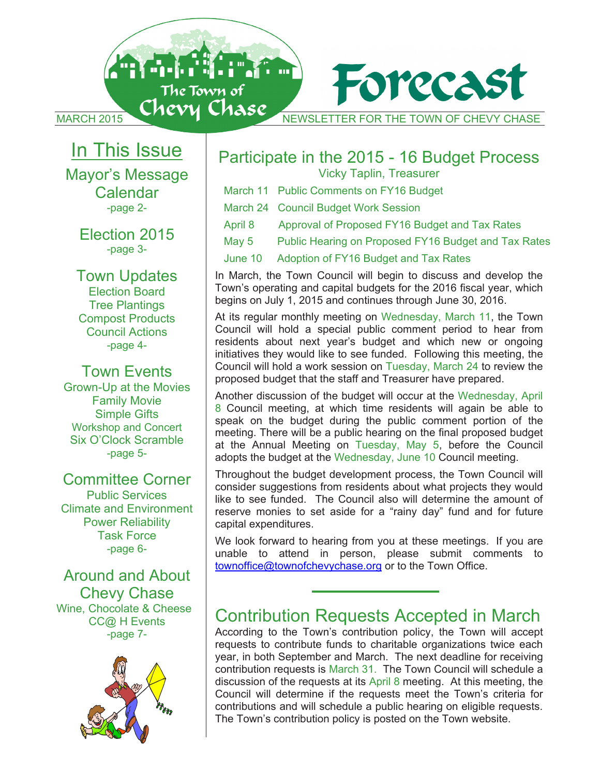MARCH 2015 NEWSLETTER FOR THE TOWN OF CHEVY CHASE

Forecas

# In This Issue

**Antonin** 

The Town of

Mayor's Message Mayor's Message Calendar Calendar -page 2- -page 2-

Election 2015 Election 2015 -page 3- -page 3-

Town Updates Town Updates Election Board Election Board Tree Plantings Tree Plantings Compost Products Compost Products Council Actions Council Actions -page 4- -page 4-

Town Events Town Events Grown-Up at the Movies Grown-Up at the Movies Family Movie Family Movie Simple Gifts Simple Gifts Workshop and Concert Workshop and Concert Six O'Clock Scramble Six O'Clock Scramble -page 5- -page 5-

## Committee Corner Committee Corner

Public Services Public Services Climate and Environment Climate and Environment Power Reliability Power Reliability Task Force Task Force -page 6- -page 6-

### Around and About Around and About Chevy Chase Chevy Chase Wine, Chocolate & Cheese Wine, Chocolate & Cheese CC@ H Events CC@ H Events -page 7- -page 7-



# Participate in the 2015 - 16 Budget Process Participate in the 2015 - 16 Budget Process

Vicky Taplin, Treasurer Vicky Taplin, Treasurer

- March 11 Public Comments on FY16 Budget March 11 Public Comments on FY16 Budget
- March 24 Council Budget Work Session March 24 Council Budget Work Session

n<br>1 m

- April 8 Approval of Proposed FY16 Budget and Tax Rates
- May 5 Public Hearing on Proposed FY16 Budget and Tax Rates May 5 Public Hearing on Proposed FY16 Budget and Tax Rates May 5
- June 10 Adoption of FY16 Budget and Tax Rates June 10 Adoption of FY16 Budget and Tax Rates

In March, the Town Council will begin to discuss and develop the In March, the Town Council will begin to discuss and develop the Town's operating and capital budgets for the 2016 fiscal year, which Town's operating and capital budgets for the 2016 fiscal year, which begins on July 1, 2015 and continues through June 30, 2016. begins on July 1, 2015 and continues through June 30, 2016.

At its regular monthly meeting on Wednesday, March 11, the Town At its regular monthly meeting on Wednesday, March 11, the Town Council will hold a special public comment period to hear from Council will hold a special public comment period to hear from residents about next year's budget and which new or ongoing residents about next year's budget and which new or ongoing initiatives they would like to see funded. Following this meeting, the initiatives they would like to see funded. Following this meeting, the Council will hold a work session on Tuesday, March 24 to review the Council will hold a work session on Tuesday, March 24 to review the proposed budget that the staff and Treasurer have prepared. proposed budget that the staff and Treasurer have prepared.

Another discussion of the budget will occur at the Wednesday, April Another discussion of the budget will occur at the Wednesday, April 8 Council meeting, at which time residents will again be able to 8 Council meeting, at which time residents will again be able to speak on the budget during the public comment portion of the speak on the budget during the public comment portion of the meeting. There will be a public hearing on the final proposed budget meeting. There will be a public hearing on the final proposed budget at the Annual Meeting on Tuesday, May 5, before the Council at the Annual Meeting on Tuesday, May 5, before the Council adopts the budget at the Wednesday, June 10 Council meeting. adopts the budget at the Wednesday, June 10 Council meeting.

Throughout the budget development process, the Town Council will Throughout the budget development process, the Town Council will consider suggestions from residents about what projects they would consider suggestions from residents about what projects they would like to see funded. The Council also will determine the amount of like to see funded. The Council also will determine the amount of reserve monies to set aside for a "rainy day" fund and for future reserve monies to set aside for a "rainy day" fund and for future capital expenditures. capital expenditures.

We look forward to hearing from you at these meetings. If you are We look forward to hearing from you at these meetings. If you are unable to attend in person, please submit comments to unable to attend in person, please submit comments to townoffice@townofchevychase.org</u> or to the Town Office.

# Contribution Requests Accepted in March Contribution Requests Accepted in March

According to the Town's contribution policy, the Town will accept According to the Town's contribution policy, the Town will accept requests to contribute funds to charitable organizations twice each requests to contribute funds to charitable organizations twice each year, in both September and March. The next deadline for receiving year, in both September and March. The next deadline for receiving contribution requests is March 31. The Town Council will schedule a contribution requests is March 31. The Town Council will schedule a discussion of the requests at its April 8 meeting. At this meeting, the discussion of the requests at its April 8 meeting. At this meeting, the Council will determine if the requests meet the Town's criteria for Council will determine if the requests meet the Town's criteria for contributions and will schedule a public hearing on eligible requests. contributions and will schedule a public hearing on eligible requests. The Town's contribution policy is posted on the Town website. The Town's contribution policy is posted on the Town website.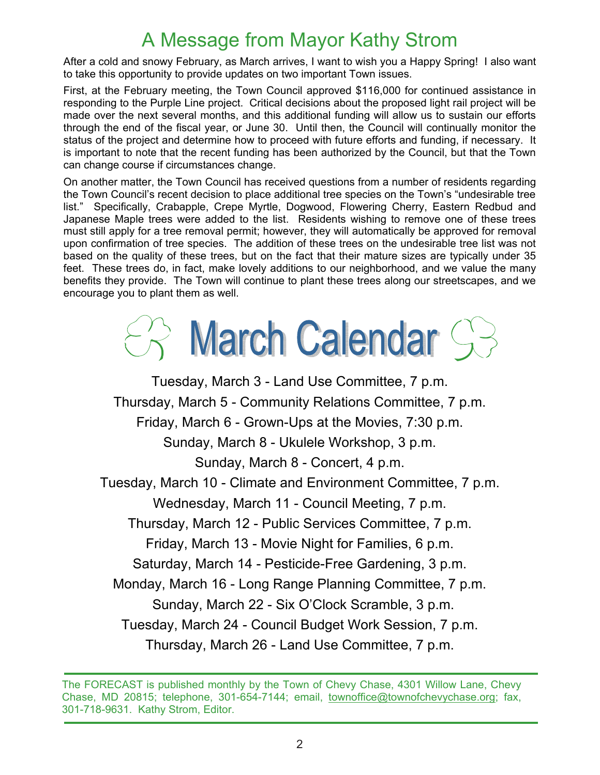# A Message from Mayor Kathy Strom A Message from Mayor Kathy Strom

After a cold and snowy February, as March arrives, I want to wish you a Happy Spring! I also want After a cold and snowy February, as March arrives, I want to wish you a Happy Spring! I also want to take this opportunity to provide updates on two important Town issues. to take this opportunity to provide updates on two important Town issues.

First, at the February meeting, the Town Council approved \$116,000 for continued assistance in First, at the February meeting, the Town Council approved \$116,000 for continued assistance in responding to the Purple Line project. Critical decisions about the proposed light rail project will be responding to the Purple Line project. Critical decisions about the proposed light rail project will be made over the next several months, and this additional funding will allow us to sustain our efforts made over the next several months, and this additional funding will allow us to sustain our efforts through the end of the fiscal year, or June 30. Until then, the Council will continually monitor the through the end of the fiscal year, or June 30. Until then, the Council will continually monitor the status of the project and determine how to proceed with future efforts and funding, if necessary. It is important to note that the recent funding has been authorized by the Council, but that the Town is important to note that the recent funding has been authorized by the Council, but that the Town can change course if circumstances change. can change course if circumstances change.

On another matter, the Town Council has received questions from a number of residents regarding On another matter, the Town Council has received questions from a number of residents regarding the Town Council's recent decision to place additional tree species on the Town's "undesirable tree the Town Council's recent decision to place additional tree species on the Town's "undesirable tree list." Specifically, Crabapple, Crepe Myrtle, Dogwood, Flowering Cherry, Eastern Redbud and list." Specifically, Crabapple, Crepe Myrtle, Dogwood, Flowering Cherry, Eastern Redbud and Japanese Maple trees were added to the list. Residents wishing to remove one of these trees Japanese Maple trees were added to the list. Residents wishing to remove one of these trees must still apply for a tree removal permit; however, they will automatically be approved for removal must still apply for a tree removal permit; however, they will automatically be approved for removal upon confirmation of tree species. The addition of these trees on the undesirable tree list was not upon confirmation of tree species. The addition of these trees on the undesirable tree list was not based on the quality of these trees, but on the fact that their mature sizes are typically under 35 based on the quality of these trees, but on the fact that their mature sizes are typically under 35 feet. These trees do, in fact, make lovely additions to our neighborhood, and we value the many feet. These trees do, in fact, make lovely additions to our neighborhood, and we value the many benefits they provide. The Town will continue to plant these trees along our streetscapes, and we benefits they provide. The Town will continue to plant these trees along our streetscapes, and we encourage you to plant them as well. encourage you to plant them as well.

# S March Calendar S

Tuesday, March 3 - Land Use Committee, 7 p.m. Tuesday, March 3 - Land Use Committee, 7 p.m. Thursday, March 5 - Community Relations Committee, 7 p.m. Thursday, March 5 - Community Relations Committee, 7 p.m. Friday, March 6 - Grown-Ups at the Movies, 7:30 p.m. Friday, March 6 - Grown-Ups at the Movies, 7:30 p.m. Sunday, March 8 - Ukulele Workshop, 3 p.m. Sunday, March 8 - Ukulele Workshop, 3 p.m. Sunday, March 8 - Concert, 4 p.m. Sunday, March 8 - Concert, 4 p.m. Tuesday, March 10 - Climate and Environment Committee, 7 p.m. Tuesday, March 10 - Climate and Environment Committee, 7 p.m. Wednesday, March 11 - Council Meeting, 7 p.m. Wednesday, March 11 - Council Meeting, 7 p.m. Thursday, March 12 - Public Services Committee, 7 p.m. Thursday, March 12 - Public Services Committee, 7 p.m. Friday, March 13 - Movie Night for Families, 6 p.m. Friday, March 13 - Movie Night for Families, 6 p.m. Saturday, March 14 - Pesticide-Free Gardening, 3 p.m. Saturday, March 14 - Pesticide-Free Gardening, 3 p.m. Monday, March 16 - Long Range Planning Committee, 7 p.m. Monday, March 16 - Long Range Planning Committee, 7 p.m. Sunday, March 22 - Six O'Clock Scramble, 3 p.m. Sunday, March 22 - Six O'Clock Scramble, 3 p.m. Tuesday, March 24 - Council Budget Work Session, 7 p.m. Tuesday, March 24 - Council Budget Work Session, 7 p.m. Thursday, March 26 - Land Use Committee, 7 p.m. Thursday, March 26 - Land Use Committee, 7 p.m.

The FORECAST is published monthly by the Town of Chevy Chase, 4301 Willow Lane, Chevy The FORECAST is published monthly by the Town of Chevy Chase, 4301 Willow Lane, Chevy Chase, MD 20815; telephone, 301-654-7144; email, townoffice@townofchevychase.org; fax, 301-718-9631. Kathy Strom, Editor. 301-718-9631. Kathy Strom, Editor.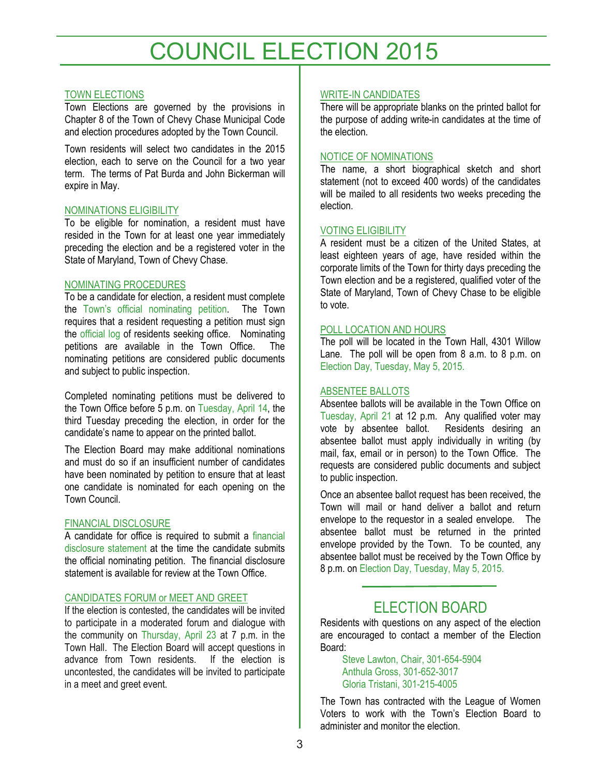# COUNCIL ELECTION 2015

#### TOWN ELECTIONS

Town Elections are governed by the provisions in Chapter 8 of the Town of Chevy Chase Municipal Code and election procedures adopted by the Town Council.

Town residents will select two candidates in the 2015 election, each to serve on the Council for a two year term. The terms of Pat Burda and John Bickerman will expire in May.

#### NOMINATIONS ELIGIBILITY

To be eligible for nomination, a resident must have resided in the Town for at least one year immediately preceding the election and be a registered voter in the State of Maryland, Town of Chevy Chase.

#### NOMINATING PROCEDURES

To be a candidate for election, a resident must complete the Town's official nominating petition. The Town requires that a resident requesting a petition must sign the official log of residents seeking office. Nominating petitions are available in the Town Office. The nominating petitions are considered public documents and subject to public inspection.

Completed nominating petitions must be delivered to the Town Office before 5 p.m. on Tuesday, April 14, the third Tuesday preceding the election, in order for the candidate's name to appear on the printed ballot.

The Election Board may make additional nominations and must do so if an insufficient number of candidates have been nominated by petition to ensure that at least one candidate is nominated for each opening on the Town Council.

#### FINANCIAL DISCLOSURE

A candidate for office is required to submit a financial disclosure statement at the time the candidate submits the official nominating petition. The financial disclosure statement is available for review at the Town Office.

#### CANDIDATES FORUM or MEET AND GREET

If the election is contested, the candidates will be invited to participate in a moderated forum and dialogue with the community on Thursday, April 23 at 7 p.m. in the Town Hall. The Election Board will accept questions in advance from Town residents. If the election is uncontested, the candidates will be invited to participate in a meet and greet event.

#### WRITE-IN CANDIDATES

There will be appropriate blanks on the printed ballot for the purpose of adding write-in candidates at the time of the election.

#### NOTICE OF NOMINATIONS

The name, a short biographical sketch and short statement (not to exceed 400 words) of the candidates will be mailed to all residents two weeks preceding the election.

#### VOTING ELIGIBILITY

A resident must be a citizen of the United States, at least eighteen years of age, have resided within the corporate limits of the Town for thirty days preceding the Town election and be a registered, qualified voter of the State of Maryland, Town of Chevy Chase to be eligible to vote.

#### POLL LOCATION AND HOURS

The poll will be located in the Town Hall, 4301 Willow Lane. The poll will be open from 8 a.m. to 8 p.m. on Election Day, Tuesday, May 5, 2015.

#### ABSENTEE BALLOTS

Absentee ballots will be available in the Town Office on Tuesday, April 21 at 12 p.m. Any qualified voter may vote by absentee ballot. absentee ballot must apply individually in writing (by mail, fax, email or in person) to the Town Office. The requests are considered public documents and subject to public inspection.

Once an absentee ballot request has been received, the Town will mail or hand deliver a ballot and return envelope to the requestor in a sealed envelope. The absentee ballot must be returned in the printed envelope provided by the Town. To be counted, any absentee ballot must be received by the Town Office by 8 p.m. on Election Day, Tuesday, May 5, 2015.

## ELECTION BOARD

Residents with questions on any aspect of the election are encouraged to contact a member of the Election Board:

Steve Lawton, Chair, 301-654-5904 Anthula Gross, 301-652-3017 Gloria Tristani, 301-215-4005

The Town has contracted with the League of Women Voters to work with the Town's Election Board to administer and monitor the election.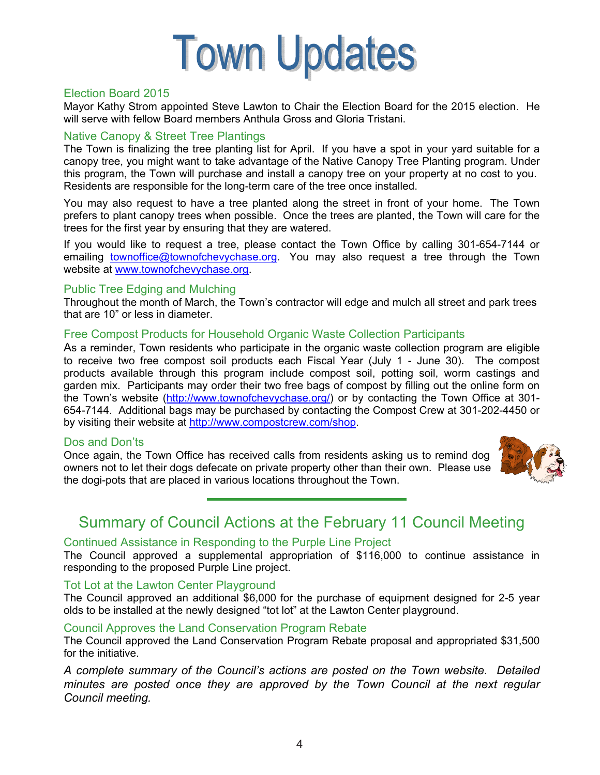

#### Election Board 2015

Mayor Kathy Strom appointed Steve Lawton to Chair the Election Board for the 2015 election. He will serve with fellow Board members Anthula Gross and Gloria Tristani.

#### Native Canopy & Street Tree Plantings

The Town is finalizing the tree planting list for April. If you have a spot in your yard suitable for a canopy tree, you might want to take advantage of the Native Canopy Tree Planting program. Under this program, the Town will purchase and install a canopy tree on your property at no cost to you. Residents are responsible for the long-term care of the tree once installed.

You may also request to have a tree planted along the street in front of your home. The Town prefers to plant canopy trees when possible. Once the trees are planted, the Town will care for the trees for the first year by ensuring that they are watered.

If you would like to request a tree, please contact the Town Office by calling 301-654-7144 or emailing townoffice@townofchevychase.org. You may also request a tree through the Town website at www.townofchevychase.org.

#### Public Tree Edging and Mulching

Throughout the month of March, the Town's contractor will edge and mulch all street and park trees that are 10" or less in diameter.

#### Free Compost Products for Household Organic Waste Collection Participants

As a reminder, Town residents who participate in the organic waste collection program are eligible to receive two free compost soil products each Fiscal Year (July 1 - June 30). The compost products available through this program include compost soil, potting soil, worm castings and garden mix. Participants may order their two free bags of compost by filling out the online form on the Town's website (http://www.townofchevychase.org/) or by contacting the Town Office at 301-654-7144. Additional bags may be purchased by contacting the Compost Crew at 301-202-4450 or by visiting their website at http://www.compostcrew.com/shop.

#### Dos and Don'ts

Once again, the Town Office has received calls from residents asking us to remind dog owners not to let their dogs defecate on private property other than their own. Please use the dogi-pots that are placed in various locations throughout the Town.



## Summary of Council Actions at the February 11 Council Meeting

#### Continued Assistance in Responding to the Purple Line Project

The Council approved a supplemental appropriation of \$116,000 to continue assistance in responding to the proposed Purple Line project.

#### Tot Lot at the Lawton Center Playground

The Council approved an additional \$6,000 for the purchase of equipment designed for 2-5 year olds to be installed at the newly designed "tot lot" at the Lawton Center playground.

#### Council Approves the Land Conservation Program Rebate

The Council approved the Land Conservation Program Rebate proposal and appropriated \$31,500 for the initiative.

*A complete summary of the Council's actions are posted on the Town website. Detailed minutes are posted once they are approved by the Town Council at the next regular Council meeting.*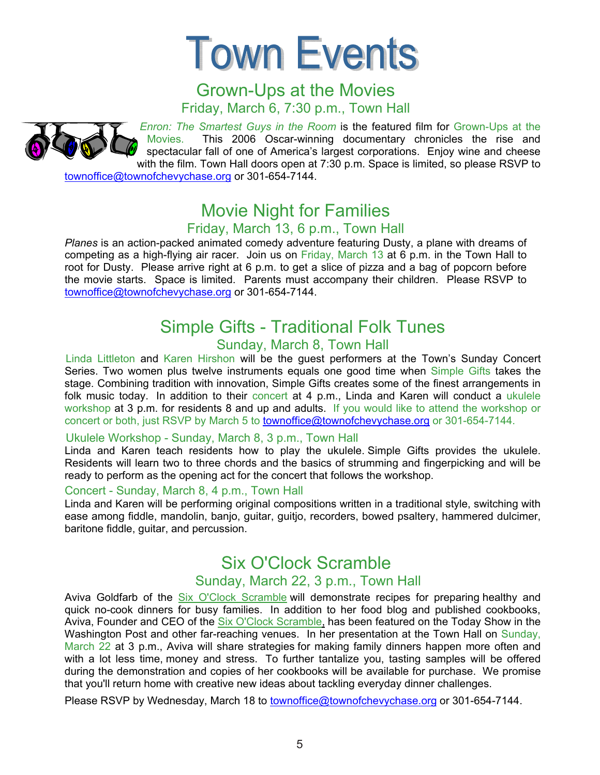

## Grown-Ups at the Movies Friday, March 6, 7:30 p.m., Town Hall

 *Enron: The Smartest Guys in the Room* is the featured film for Grown-Ups at the Movies. This 2006 Oscar-winning documentary chronicles the rise and spectacular fall of one of America's largest corporations. Enjoy wine and cheese with the film. Town Hall doors open at 7:30 p.m. Space is limited, so please RSVP to townoffice@townofchevychase.org or 301-654-7144.

# Movie Night for Families

## Friday, March 13, 6 p.m., Town Hall

Planes is an action-packed animated comedy adventure featuring Dusty, a plane with dreams of competing as a high-flying air racer. Join us on Friday, March 13 at 6 p.m. in the Town Hall to root for Dusty. Please arrive right at 6 p.m. to get a slice of pizza and a bag of popcorn before the movie starts. Space is limited. Parents must accompany their children. Please RSVP to townoffice@townofchevychase.org or 301-654-7144.

## Simple Gifts - Traditional Folk Tunes Sunday, March 8, Town Hall

Linda Littleton and Karen Hirshon will be the guest performers at the Town's Sunday Concert Series. Two women plus twelve instruments equals one good time when Simple Gifts takes the stage. Combining tradition with innovation, Simple Gifts creates some of the finest arrangements in folk music today. In addition to their concert at 4 p.m., Linda and Karen will conduct a ukulele workshop at 3 p.m. for residents 8 and up and adults. If you would like to attend the workshop or concert or both, just RSVP by March 5 to townoffice@townofchevychase.org or 301-654-7144.

#### Ukulele Workshop - Sunday, March 8, 3 p.m., Town Hall

Linda and Karen teach residents how to play the ukulele. Simple Gifts provides the ukulele. Residents will learn two to three chords and the basics of strumming and fingerpicking and will be ready to perform as the opening act for the concert that follows the workshop.

#### Concert - Sunday, March 8, 4 p.m., Town Hall

Linda and Karen will be performing original compositions written in a traditional style, switching with ease among fiddle, mandolin, banjo, guitar, guitjo, recorders, bowed psaltery, hammered dulcimer, baritone fiddle, guitar, and percussion.

# Six O'Clock Scramble

### Sunday, March 22, 3 p.m., Town Hall

Aviva Goldfarb of the Six O'Clock Scramble will demonstrate recipes for preparing healthy and quick no-cook dinners for busy families. In addition to her food blog and published cookbooks, Aviva, Founder and CEO of the Six O'Clock Scramble, has been featured on the Today Show in the Washington Post and other far-reaching venues. In her presentation at the Town Hall on Sunday, March 22 at 3 p.m., Aviva will share strategies for making family dinners happen more often and with a lot less time, money and stress. To further tantalize you, tasting samples will be offered during the demonstration and copies of her cookbooks will be available for purchase. We promise that you'll return home with creative new ideas about tackling everyday dinner challenges.

Please RSVP by Wednesday, March 18 to townoffice@townofchevychase.org or 301-654-7144.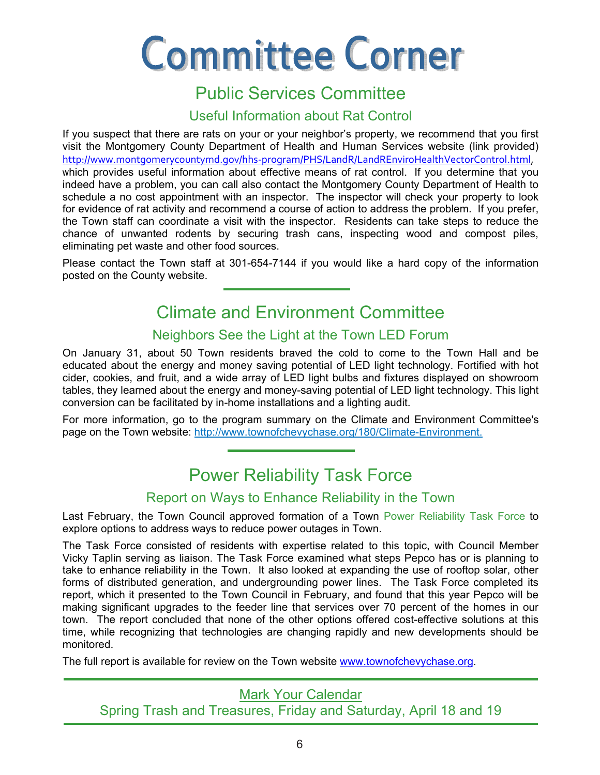# **Committee Corner**

## Public Services Committee

## Useful Information about Rat Control

If you suspect that there are rats on your or your neighbor's property, we recommend that you first visit the Montgomery County Department of Health and Human Services website (link provided) http://www.montgomerycountymd.gov/hhs-program/PHS/LandR/LandREnviroHealthVectorControl.html, which provides useful information about effective means of rat control. If you determine that you indeed have a problem, you can call also contact the Montgomery County Department of Health to schedule a no cost appointment with an inspector. The inspector will check your property to look for evidence of rat activity and recommend a course of action to address the problem. If you prefer, the Town staff can coordinate a visit with the inspector. Residents can take steps to reduce the chance of unwanted rodents by securing trash cans, inspecting wood and compost piles, eliminating pet waste and other food sources.

Please contact the Town staff at 301-654-7144 if you would like a hard copy of the information posted on the County website.

# Climate and Environment Committee

## Neighbors See the Light at the Town LED Forum

On January 31, about 50 Town residents braved the cold to come to the Town Hall and be educated about the energy and money saving potential of LED light technology. Fortified with hot cider, cookies, and fruit, and a wide array of LED light bulbs and fixtures displayed on showroom tables, they learned about the energy and money-saving potential of LED light technology. This light conversion can be facilitated by in-home installations and a lighting audit.

For more information, go to the program summary on the Climate and Environment Committee's page on the Town website: http://www.townofchevychase.org/180/Climate-Environment.

# Power Reliability Task Force

## Report on Ways to Enhance Reliability in the Town

Last February, the Town Council approved formation of a Town Power Reliability Task Force to explore options to address ways to reduce power outages in Town.

The Task Force consisted of residents with expertise related to this topic, with Council Member Vicky Taplin serving as liaison. The Task Force examined what steps Pepco has or is planning to take to enhance reliability in the Town. It also looked at expanding the use of rooftop solar, other forms of distributed generation, and undergrounding power lines. The Task Force completed its report, which it presented to the Town Council in February, and found that this year Pepco will be making significant upgrades to the feeder line that services over 70 percent of the homes in our town. The report concluded that none of the other options offered cost-effective solutions at this time, while recognizing that technologies are changing rapidly and new developments should be monitored.

The full report is available for review on the Town website www.townofchevychase.org.

Mark Your Calendar

Spring Trash and Treasures, Friday and Saturday, April 18 and 19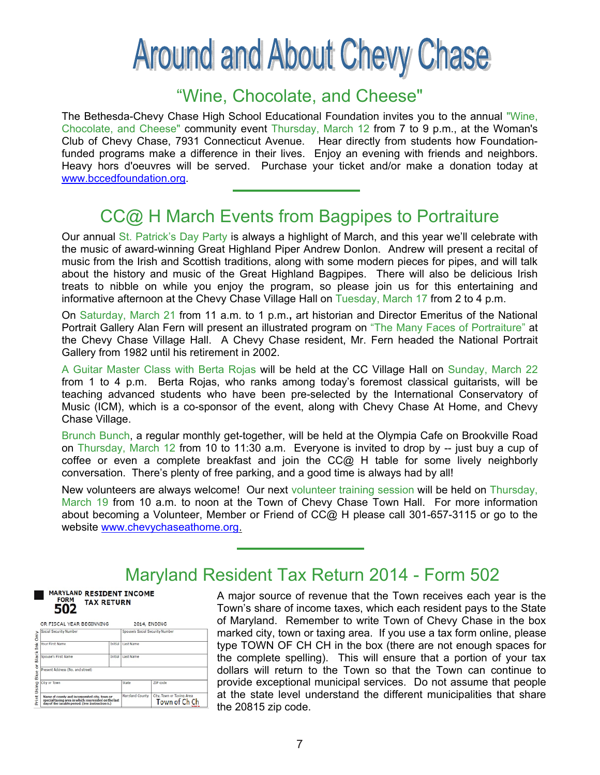# **Around and About Chevy Chase**

## "Wine, Chocolate, and Cheese" "Wine, Chocolate, and Cheese"

The Bethesda-Chevy Chase High School Educational Foundation invites you to the annual "Wine, The Bethesda-Chevy Chase High School Educational Foundation invites you to the annual "Wine, Chocolate, and Cheese" community event Thursday, March 12 from 7 to 9 p.m., at the Woman's Chocolate, and Cheese" community event Thursday, March 12 from 7 to 9 p.m., at the Woman's Club of Chevy Chase, 7931 Connecticut Avenue. Hear directly from students how Foundation-Club of Chevy Chase, 7931 Connecticut Avenue. Hear directly from students how Foundationfunded programs make a difference in their lives. Enjoy an evening with friends and neighbors. funded programs make a difference in their lives. Enjoy an evening with friends and neighbors. Heavy hors d'oeuvres will be served. Purchase your ticket and/or make a donation today at Heavy hors d'oeuvres will be served. Purchase your ticket and/or make a donation today at www.bccedfoundation.org. www.bccedfoundation.org.

# CC@ H March Events from Bagpipes to Portraiture CC@ H March Events from Bagpipes to Portraiture

Our annual St. Patrick's Day Party is always a highlight of March, and this year we'll celebrate with Our annual St. Patrick's Day Party is always a highlight of March, and this year we'll celebrate with the music of award-winning Great Highland Piper Andrew Donlon. Andrew will present a recital of the music of award-winning Great Highland Piper Andrew Donlon. Andrew will present a recital of music from the Irish and Scottish traditions, along with some modern pieces for pipes, and will talk music from the Irish and Scottish traditions, along with some modern pieces for pipes, and will talk about the history and music of the Great Highland Bagpipes. There will also be delicious Irish about the history and music of the Great Highland Bagpipes. There will also be delicious Irish treats to nibble on while you enjoy the program, so please join us for this entertaining and treats to nibble on while you enjoy the program, so please join us for this entertaining and informative afternoon at the Chevy Chase Village Hall on Tuesday, March 17 from 2 to 4 p.m. informative afternoon at the Chevy Chase Village Hall on Tuesday, March 17 from 2 to 4 p.m.

On Saturday, March 21 from 11 a.m. to 1 p.m.**,** art historian and Director Emeritus of the National On Saturday, March 21 from 11 a.m. to 1 p.m.**,** art historian and Director Emeritus of the National Portrait Gallery Alan Fern will present an illustrated program on "The Many Faces of Portraiture" at Portrait Gallery Alan Fern will present an illustrated program on "The Many Faces of Portraiture" at the Chevy Chase Village Hall. A Chevy Chase resident, Mr. Fern headed the National Portrait the Chevy Chase Village Hall. A Chevy Chase resident, Mr. Fern headed the National Portrait Gallery from 1982 until his retirement in 2002. Gallery from 1982 until his retirement in 2002.

A Guitar Master Class with Berta Rojas will be held at the CC Village Hall on Sunday, March 22 A Guitar Master Class with Berta Rojas will be held at the CC Village Hall on Sunday, March 22 from 1 to 4 p.m. Berta Rojas, who ranks among today's foremost classical guitarists, will be from 1 to 4 p.m. Berta Rojas, who ranks among today's foremost classical guitarists, will be teaching advanced students who have been pre-selected by the International Conservatory of teaching advanced students who have been pre-selected by the International Conservatory of Music (ICM), which is a co-sponsor of the event, along with Chevy Chase At Home, and Chevy Music (ICM), which is a co-sponsor of the event, along with Chevy Chase At Home, and Chevy Chase Village. Chase Village.

Brunch Bunch, a regular monthly get-together, will be held at the Olympia Cafe on Brookville Road Brunch Bunch, a regular monthly get-together, will be held at the Olympia Cafe on Brookville Road on Thursday, March 12 from 10 to 11:30 a.m. Everyone is invited to drop by -- just buy a cup of coffee or even a complete breakfast and join the CC@ H table for some lively neighborly coffee or even a complete breakfast and join the CC@ H table for some lively neighborly conversation. There's plenty of free parking, and a good time is always had by all! conversation. There's plenty of free parking, and a good time is always had by all!

New volunteers are always welcome! Our next volunteer training session will be held on Thursday, New volunteers are always welcome! Our next volunteer training session will be held on Thursday, March 19 from 10 a.m. to noon at the Town of Chevy Chase Town Hall. For more information March 19 from 10 a.m. to noon at the Town of Chevy Chase Town Hall. For more information about becoming a Volunteer, Member or Friend of CC@ H please call 301-657-3115 or go to the about becoming a Volunteer, Member or Friend of CC@ H please call 301-657-3115 or go to the website <u>www.chevychaseathome.org.</u>

## Maryland Resident Tax Return 2014 - Form 502 Maryland Resident Tax Return 2014 - Form 502

**MARYLAND RESIDENT INCOME FORM TAX RETURN** 502

|                                                                                                                                                          |         | 2014, ENDING                    |                                            |
|----------------------------------------------------------------------------------------------------------------------------------------------------------|---------|---------------------------------|--------------------------------------------|
| Social Security Number                                                                                                                                   |         | Spouse's Social Security Number |                                            |
| <b>Your First Name</b>                                                                                                                                   |         | Initial Last Name               |                                            |
| Spouse's First Name                                                                                                                                      | Initial | Last Name                       |                                            |
| Present Address (No. and street)                                                                                                                         |         |                                 |                                            |
| City or Town                                                                                                                                             |         | State                           | <b>ZIP</b> code                            |
|                                                                                                                                                          |         |                                 |                                            |
| Name of county and incorporated city, town or<br>special taxing area in which you resided on the last<br>day of the taxable period. (See Instruction 6.) |         | Maryland County                 | City, Town or Taxing Area<br>Town of Ch Ch |

A major source of revenue that the Town receives each year is the A major source of revenue that the Town receives each year is the Town's share of income taxes, which each resident pays to the State Town's share of income taxes, which each resident pays to the State of Maryland. Remember to write Town of Chevy Chase in the box of Maryland. Remember to write Town of Chevy Chase in the box marked city, town or taxing area. If you use a tax form online, please marked city, town or taxing area. If you use a tax form online, please type TOWN OF CH CH in the box (there are not enough spaces for type TOWN OF CH CH in the box (there are not enough spaces for the complete spelling). This will ensure that a portion of your tax the complete spelling). This will ensure that a portion of your tax dollars will return to the Town so that the Town can continue to dollars will return to the Town so that the Town can continue to provide exceptional municipal services. Do not assume that people provide exceptional municipal services. Do not assume that people  $\dagger$  at the state level understand the different municipalities that share  $\pm$  the 20815 zip code.